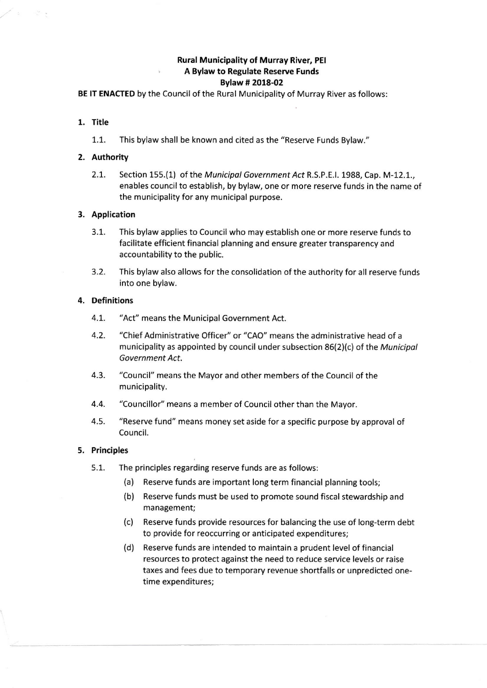# Rural Municipality of Murray River, PEI , A Bylaw to Regulate Reserve Funds Bylaw # 2018-02

BE lT ENACTED by the Council of the Rural Municipality of Murray River as follows:

# 1. Title

1.1. This bylaw shall be known and cited as the "Reserve Funds Bylaw."

# 2. Authority

2.1. Section 155.(1) of the Municipal Government Act R.S.P.E.I. 1988, Cap. M-12.1., enables council to establish, by bylaw, one or more reserve funds in the name of the municipality for any municipal purpose.

### 3. Application

- 3.1. This bylaw applies to Council who may establish one or more reserve funds to facilitate efficient financial planning and ensure greater transparency and accountability to the public.
- 3.2. This bylaw also allows for the consolidation of the authority for all reserve funds into one bylaw.

### 4. Definitions

- 4.L. "Act" means the Municipal Government Act.
- 4.2. "Chief Administrative Officer" or "CAO" means the administrative head of a municipality as appointed by council under subsection 86(2)(c) of the Municipal Government Act.
- 4.3. "Council" means the Mayor and other members of the Council of the municipality.
- 4.4. "Councillor" means a member of Council other than the Mayor.
- 4.5. "Reserve fund" means money set aside for a specific purpose by approval of Council.

#### 5. Principles

- 5.1. The principles regarding reserve funds are as follows:
	- (a) Reserve funds are important long term financial planning tools;
	- (b) Reserve funds must be used to promote sound fiscal stewardship and management;
	- (c) Reserve funds provide resources for balancing the use of long-term debt to provide for reoccurring or anticipated expenditures;
	- (d) Reserve funds are intended to maintain a prudent level of financial resources to protect against the need to reduce service levels or raise taxes and fees due to temporary revenue shortfalls or unpredicted onetime expenditures;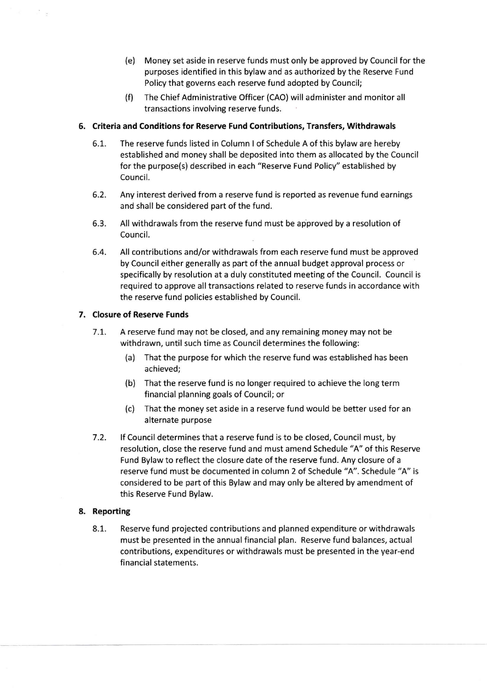- (e) Money set aside in reserve funds must only be approved by Council for the purposes identified in this bylaw and as authorized by the Reserve Fund Policy that governs each reserve fund adopted by Council;
- (f) The Chief Administrative Officer (CAO) will administer and monitor all transactions involving reserve funds.

# 6. Criteria and Conditions for Reserve Fund Contributions, Transfers, Withdrawals

- The reserve funds listed in Column I of Schedule A of this bylaw are hereby established and money shall be deposited into them as allocated by the Council for the purpose(s) described in each "Reserve Fund Policy" established by Council. 6.1.
- Any interest derived from a reserve fund is reported as revenue fund earnings and shall be considered part of the fund. 6.2.
- All withdrawals from the reserve fund must be approved by a resolution of Council. 6.3.
- All contributions and/or withdrawals from each reserve fund must be approved by Council either generally as part of the annual budget approval process or specifically by resolution at a duly constituted meeting of the Council. Council is required to approve all transactions related to reserve funds in accordance with the reserve fund policies established by Council. 6.4.

# 7. Closure of Reserve Funds

- <sup>7</sup>.t. A reserve fund may not be closed, and any remaining money may not be withdrawn, until such time as Council determines the following:
	- (a) That the purpose for which the reserve fund was established has been achieved;
	- (b) That the reserve fund is no longer required to achieve the long term financial planning goals of Council; or
	- (c) That the money set aside in a reserve fund would be better used for an alternate purpose
- $7.2.$ lf Council determines that a reserve fund is to be closed, Council must, by resolution, close the reserve fund and must amend Schedule "A" of this Reserve Fund Bylaw to reflect the closure date of the reserve fund. Any closure of a reserve fund must be documented in column 2 of Schedule "A". Schedule "A" is considered to be part of this Bylaw and may only be altered by amendment of this Reserve Fund Bylaw.

# 8. Reporting

8.1. Reserve fund projected contributions and planned expenditure or withdrawals must be presented in the annualfinancial plan. Reserve fund balances, actual contributions, expenditures or withdrawals must be presented in the year-end financial statements.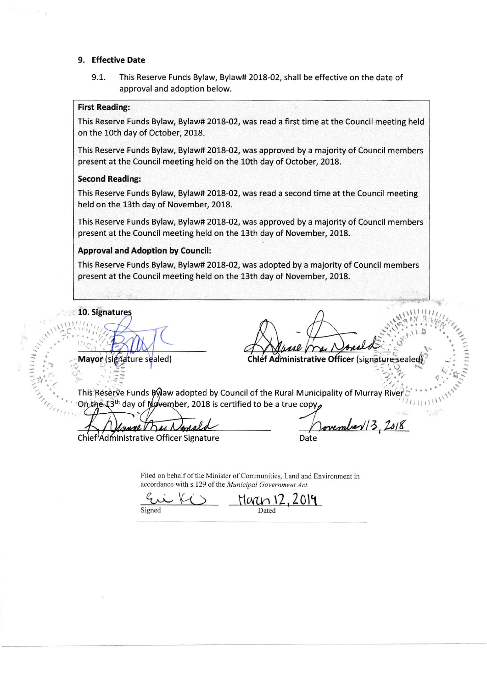### 9. Effective Date

9.1. This Reserve Funds Bylaw, Bylaw# 2018-02, shall be effective on the date of approval and adoption below.

# First Reading:

This Reserve Funds Bylaw, Bylaw# 2018-02, was read a first time at the Council meeting held on the 10th day of October, 2018.

This Reserve Funds Bylaw, Bylaw# 2018-02, was approved by a majority of Council members present at the Council meeting held on the 10th day of October, 2018.

#### Second Reading:

This Reserve Funds Bylaw, Bylaw# 2018-02, was read a second time at the Council meeting held on the 13th day of November, 2018.

This Reserve Funds Bylaw, Bylaw# 2018-02, was approved by a majority of Council members present at the Council meeting held on the 13th day of November, 2018.

#### Approval and Adoption by Council:

This Reserve Funds Bylaw, Bylaw# 2018-02, was adopted by a majority of Council members present at the Council meeting held on the 13th day of November, 2018.

10. Signatures

Mayor (signature sealed)

Chlef Administrative Officer (signature sealed organization

 $\mathbb{Z}_{\ell}^{n}$ This Reserve Funds By aw adopted by Council of the Rural Municipality of Murray River On the  $13^{\text{th}}$  day of November, 2018 is certified to be a true copy,

Chief<sup>/</sup>Administrative Officer Signature

Jovember 13, 2018 Date

Filed on behalf of the Minister of Communities, Land and Environment in

accordance with s.129 of the Municipal Government Act.<br>  $\frac{C_{\text{min}}}{C_{\text{min}}}$  (12,20 2019  $M$ aren 12 Dated

Signed